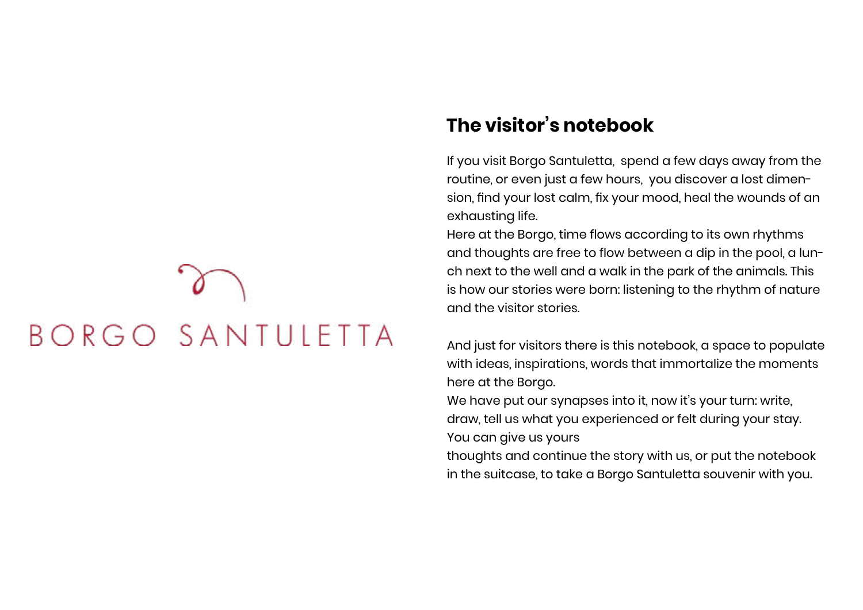## BORGO SANTULETTA

## **The visitor's notebook**

If you visit Borgo Santuletta, spend a few days away from the routine, or even just a few hours, you discover a lost dimension, find your lost calm, fix your mood, heal the wounds of an exhausting life.

Here at the Borgo, time flows according to its own rhythms and thoughts are free to flow between a dip in the pool, a lunch next to the well and a walk in the park of the animals. This is how our stories were born: listening to the rhythm of nature and the visitor stories.

And just for visitors there is this notebook, a space to populate with ideas, inspirations, words that immortalize the moments here at the Borgo.

We have put our synapses into it, now it's your turn: write, draw, tell us what you experienced or felt during your stay. You can give us yours

thoughts and continue the story with us, or put the notebook in the suitcase, to take a Borgo Santuletta souvenir with you.